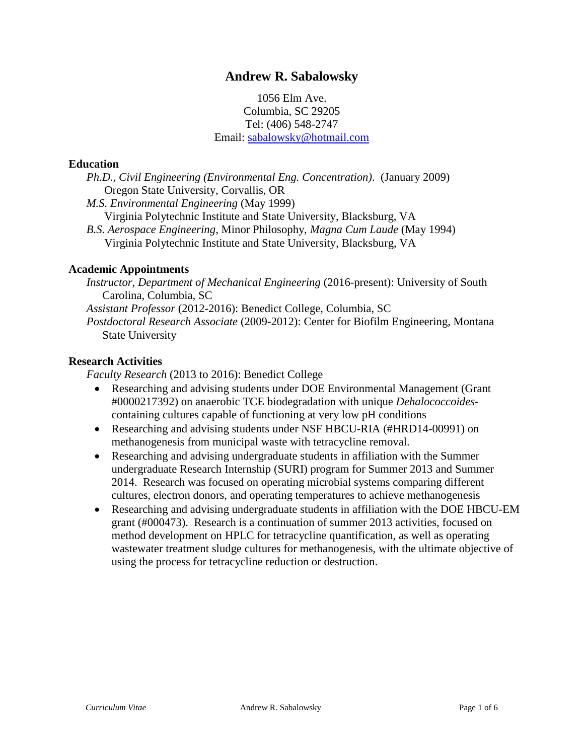# **Andrew R. Sabalowsky**

1056 Elm Ave. Columbia, SC 29205 Tel: (406) 548-2747 Email: [sabalowsky@hotmail.com](mailto:sabalowsky@hotmail.com)

### **Education**

*Ph.D., Civil Engineering (Environmental Eng. Concentration)*. (January 2009) Oregon State University, Corvallis, OR

*M.S. Environmental Engineering* (May 1999) Virginia Polytechnic Institute and State University, Blacksburg, VA *B.S. Aerospace Engineering*, Minor Philosophy, *Magna Cum Laude* (May 1994) Virginia Polytechnic Institute and State University, Blacksburg, VA

#### **Academic Appointments**

*Instructor, Department of Mechanical Engineering* (2016-present): University of South Carolina, Columbia, SC

*Assistant Professor* (2012-2016): Benedict College, Columbia, SC

*Postdoctoral Research Associate* (2009-2012): Center for Biofilm Engineering, Montana State University

### **Research Activities**

*Faculty Research* (2013 to 2016): Benedict College

- Researching and advising students under DOE Environmental Management (Grant #0000217392) on anaerobic TCE biodegradation with unique *Dehalococcoides*containing cultures capable of functioning at very low pH conditions
- Researching and advising students under NSF HBCU-RIA (#HRD14-00991) on methanogenesis from municipal waste with tetracycline removal.
- Researching and advising undergraduate students in affiliation with the Summer undergraduate Research Internship (SURI) program for Summer 2013 and Summer 2014. Research was focused on operating microbial systems comparing different cultures, electron donors, and operating temperatures to achieve methanogenesis
- Researching and advising undergraduate students in affiliation with the DOE HBCU-EM grant (#000473). Research is a continuation of summer 2013 activities, focused on method development on HPLC for tetracycline quantification, as well as operating wastewater treatment sludge cultures for methanogenesis, with the ultimate objective of using the process for tetracycline reduction or destruction.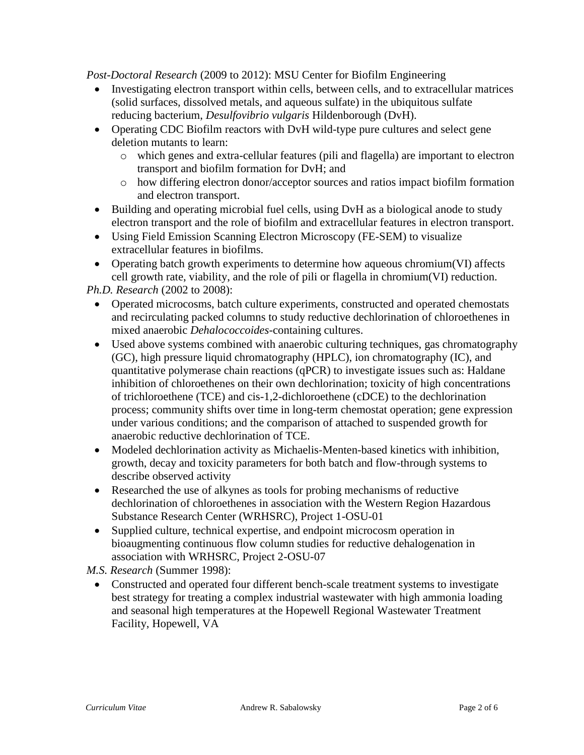*Post-Doctoral Research* (2009 to 2012): MSU Center for Biofilm Engineering

- Investigating electron transport within cells, between cells, and to extracellular matrices (solid surfaces, dissolved metals, and aqueous sulfate) in the ubiquitous sulfate reducing bacterium, *Desulfovibrio vulgaris* Hildenborough (DvH).
- Operating CDC Biofilm reactors with DvH wild-type pure cultures and select gene deletion mutants to learn:
	- o which genes and extra-cellular features (pili and flagella) are important to electron transport and biofilm formation for DvH; and
	- o how differing electron donor/acceptor sources and ratios impact biofilm formation and electron transport.
- Building and operating microbial fuel cells, using DvH as a biological anode to study electron transport and the role of biofilm and extracellular features in electron transport.
- Using Field Emission Scanning Electron Microscopy (FE-SEM) to visualize extracellular features in biofilms.
- Operating batch growth experiments to determine how aqueous chromium(VI) affects cell growth rate, viability, and the role of pili or flagella in chromium(VI) reduction.

*Ph.D. Research* (2002 to 2008):

- Operated microcosms, batch culture experiments, constructed and operated chemostats and recirculating packed columns to study reductive dechlorination of chloroethenes in mixed anaerobic *Dehalococcoides*-containing cultures.
- Used above systems combined with anaerobic culturing techniques, gas chromatography (GC), high pressure liquid chromatography (HPLC), ion chromatography (IC), and quantitative polymerase chain reactions (qPCR) to investigate issues such as: Haldane inhibition of chloroethenes on their own dechlorination; toxicity of high concentrations of trichloroethene (TCE) and cis-1,2-dichloroethene (cDCE) to the dechlorination process; community shifts over time in long-term chemostat operation; gene expression under various conditions; and the comparison of attached to suspended growth for anaerobic reductive dechlorination of TCE.
- Modeled dechlorination activity as Michaelis-Menten-based kinetics with inhibition, growth, decay and toxicity parameters for both batch and flow-through systems to describe observed activity
- Researched the use of alkynes as tools for probing mechanisms of reductive dechlorination of chloroethenes in association with the Western Region Hazardous Substance Research Center (WRHSRC), Project 1-OSU-01
- Supplied culture, technical expertise, and endpoint microcosm operation in bioaugmenting continuous flow column studies for reductive dehalogenation in association with WRHSRC, Project 2-OSU-07

*M.S. Research* (Summer 1998):

 Constructed and operated four different bench-scale treatment systems to investigate best strategy for treating a complex industrial wastewater with high ammonia loading and seasonal high temperatures at the Hopewell Regional Wastewater Treatment Facility, Hopewell, VA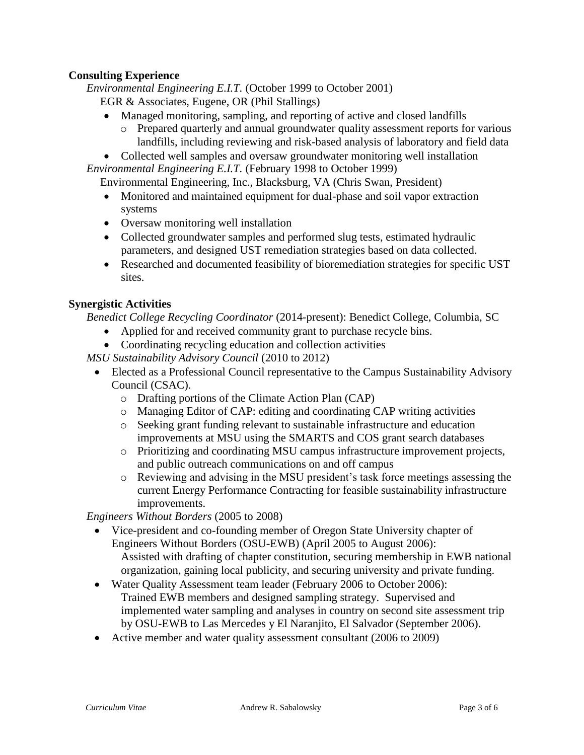# **Consulting Experience**

*Environmental Engineering E.I.T.* (October 1999 to October 2001)

- EGR & Associates, Eugene, OR (Phil Stallings)
- Managed monitoring, sampling, and reporting of active and closed landfills
	- o Prepared quarterly and annual groundwater quality assessment reports for various landfills, including reviewing and risk-based analysis of laboratory and field data
- Collected well samples and oversaw groundwater monitoring well installation

*Environmental Engineering E.I.T.* (February 1998 to October 1999)

Environmental Engineering, Inc., Blacksburg, VA (Chris Swan, President)

- Monitored and maintained equipment for dual-phase and soil vapor extraction systems
- Oversaw monitoring well installation
- Collected groundwater samples and performed slug tests, estimated hydraulic parameters, and designed UST remediation strategies based on data collected.
- Researched and documented feasibility of bioremediation strategies for specific UST sites.

# **Synergistic Activities**

*Benedict College Recycling Coordinator* (2014-present): Benedict College, Columbia, SC

- Applied for and received community grant to purchase recycle bins.
- Coordinating recycling education and collection activities

*MSU Sustainability Advisory Council* (2010 to 2012)

- Elected as a Professional Council representative to the Campus Sustainability Advisory Council (CSAC).
	- o Drafting portions of the Climate Action Plan (CAP)
	- o Managing Editor of CAP: editing and coordinating CAP writing activities
	- o Seeking grant funding relevant to sustainable infrastructure and education improvements at MSU using the SMARTS and COS grant search databases
	- o Prioritizing and coordinating MSU campus infrastructure improvement projects, and public outreach communications on and off campus
	- o Reviewing and advising in the MSU president's task force meetings assessing the current Energy Performance Contracting for feasible sustainability infrastructure improvements.

*Engineers Without Borders* (2005 to 2008)

- Vice-president and co-founding member of Oregon State University chapter of Engineers Without Borders (OSU-EWB) (April 2005 to August 2006): Assisted with drafting of chapter constitution, securing membership in EWB national organization, gaining local publicity, and securing university and private funding.
- Water Quality Assessment team leader (February 2006 to October 2006): Trained EWB members and designed sampling strategy. Supervised and implemented water sampling and analyses in country on second site assessment trip by OSU-EWB to Las Mercedes y El Naranjito, El Salvador (September 2006).
- Active member and water quality assessment consultant (2006 to 2009)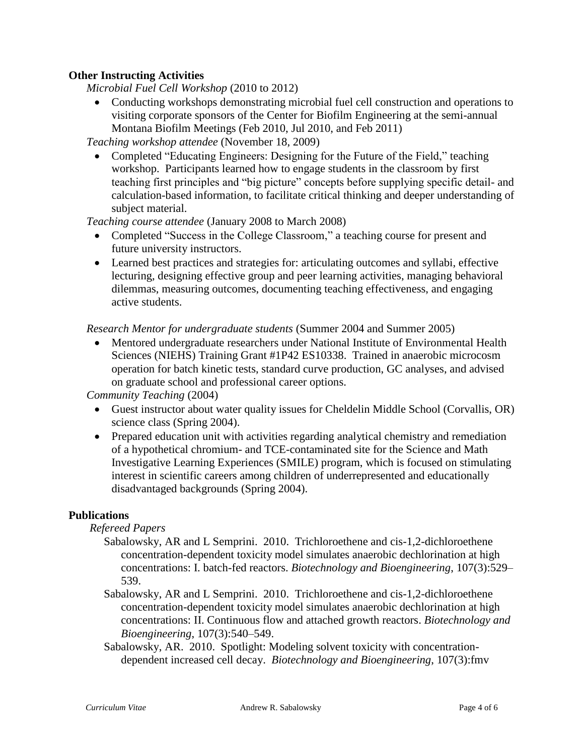## **Other Instructing Activities**

*Microbial Fuel Cell Workshop* (2010 to 2012)

 Conducting workshops demonstrating microbial fuel cell construction and operations to visiting corporate sponsors of the Center for Biofilm Engineering at the semi-annual Montana Biofilm Meetings (Feb 2010, Jul 2010, and Feb 2011)

*Teaching workshop attendee* (November 18, 2009)

• Completed "Educating Engineers: Designing for the Future of the Field," teaching workshop. Participants learned how to engage students in the classroom by first teaching first principles and "big picture" concepts before supplying specific detail- and calculation-based information, to facilitate critical thinking and deeper understanding of subject material.

*Teaching course attendee* (January 2008 to March 2008)

- Completed "Success in the College Classroom," a teaching course for present and future university instructors.
- Learned best practices and strategies for: articulating outcomes and syllabi, effective lecturing, designing effective group and peer learning activities, managing behavioral dilemmas, measuring outcomes, documenting teaching effectiveness, and engaging active students.

*Research Mentor for undergraduate students* (Summer 2004 and Summer 2005)

 Mentored undergraduate researchers under National Institute of Environmental Health Sciences (NIEHS) Training Grant #1P42 ES10338. Trained in anaerobic microcosm operation for batch kinetic tests, standard curve production, GC analyses, and advised on graduate school and professional career options.

*Community Teaching* (2004)

- Guest instructor about water quality issues for Cheldelin Middle School (Corvallis, OR) science class (Spring 2004).
- Prepared education unit with activities regarding analytical chemistry and remediation of a hypothetical chromium- and TCE-contaminated site for the Science and Math Investigative Learning Experiences (SMILE) program, which is focused on stimulating interest in scientific careers among children of underrepresented and educationally disadvantaged backgrounds (Spring 2004).

## **Publications**

### *Refereed Papers*

- Sabalowsky, AR and L Semprini. 2010. Trichloroethene and cis-1,2-dichloroethene concentration-dependent toxicity model simulates anaerobic dechlorination at high concentrations: I. batch-fed reactors. *Biotechnology and Bioengineering*, 107(3):529– 539.
- Sabalowsky, AR and L Semprini. 2010. Trichloroethene and cis-1,2-dichloroethene concentration-dependent toxicity model simulates anaerobic dechlorination at high concentrations: II. Continuous flow and attached growth reactors. *Biotechnology and Bioengineering*, 107(3):540–549.
- Sabalowsky, AR. 2010. Spotlight: Modeling solvent toxicity with concentrationdependent increased cell decay. *Biotechnology and Bioengineering*, 107(3):fmv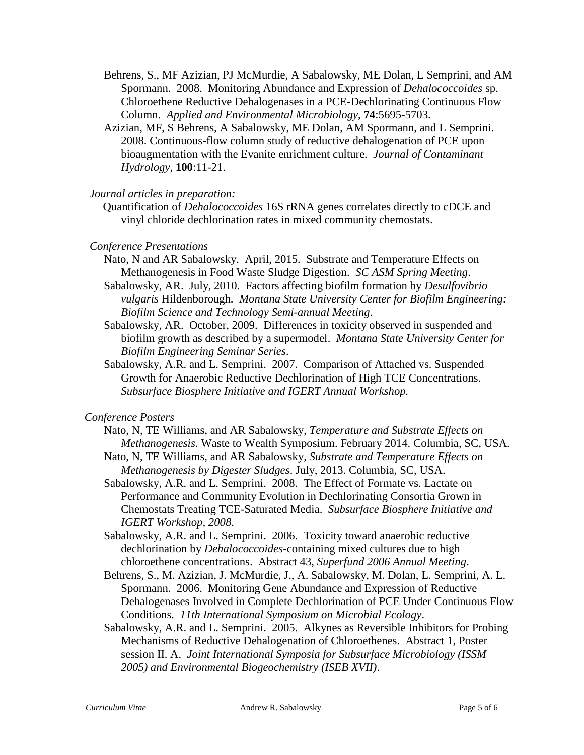- Behrens, S., MF Azizian, PJ McMurdie, A Sabalowsky, ME Dolan, L Semprini, and AM Spormann. 2008. Monitoring Abundance and Expression of *Dehalococcoides* sp. Chloroethene Reductive Dehalogenases in a PCE-Dechlorinating Continuous Flow Column. *Applied and Environmental Microbiology,* **74**:5695-5703.
- Azizian, MF, S Behrens, A Sabalowsky, ME Dolan, AM Spormann, and L Semprini. 2008. Continuous-flow column study of reductive dehalogenation of PCE upon bioaugmentation with the Evanite enrichment culture. *Journal of Contaminant Hydrology*, **100**:11-21.

### *Journal articles in preparation:*

Quantification of *Dehalococcoides* 16S rRNA genes correlates directly to cDCE and vinyl chloride dechlorination rates in mixed community chemostats.

### *Conference Presentations*

- Nato, N and AR Sabalowsky. April, 2015. Substrate and Temperature Effects on Methanogenesis in Food Waste Sludge Digestion. *SC ASM Spring Meeting*.
- Sabalowsky, AR. July, 2010. Factors affecting biofilm formation by *Desulfovibrio vulgaris* Hildenborough. *Montana State University Center for Biofilm Engineering: Biofilm Science and Technology Semi-annual Meeting*.
- Sabalowsky, AR. October, 2009. Differences in toxicity observed in suspended and biofilm growth as described by a supermodel. *Montana State University Center for Biofilm Engineering Seminar Series*.
- Sabalowsky, A.R. and L. Semprini. 2007. Comparison of Attached vs. Suspended Growth for Anaerobic Reductive Dechlorination of High TCE Concentrations. *Subsurface Biosphere Initiative and IGERT Annual Workshop.*

## *Conference Posters*

- Nato, N, TE Williams, and AR Sabalowsky, *Temperature and Substrate Effects on Methanogenesis*. Waste to Wealth Symposium. February 2014. Columbia, SC, USA.
- Nato, N, TE Williams, and AR Sabalowsky*, Substrate and Temperature Effects on Methanogenesis by Digester Sludges*. July, 2013. Columbia, SC, USA.
- Sabalowsky, A.R. and L. Semprini. 2008. The Effect of Formate vs. Lactate on Performance and Community Evolution in Dechlorinating Consortia Grown in Chemostats Treating TCE-Saturated Media. *Subsurface Biosphere Initiative and IGERT Workshop, 2008*.
- Sabalowsky, A.R. and L. Semprini. 2006. Toxicity toward anaerobic reductive dechlorination by *Dehalococcoides*-containing mixed cultures due to high chloroethene concentrations. Abstract 43, *Superfund 2006 Annual Meeting*.
- Behrens, S., M. Azizian, J. McMurdie, J., A. Sabalowsky, M. Dolan, L. Semprini, A. L. Spormann. 2006. Monitoring Gene Abundance and Expression of Reductive Dehalogenases Involved in Complete Dechlorination of PCE Under Continuous Flow Conditions. *11th International Symposium on Microbial Ecology*.
- Sabalowsky, A.R. and L. Semprini. 2005. Alkynes as Reversible Inhibitors for Probing Mechanisms of Reductive Dehalogenation of Chloroethenes. Abstract 1, Poster session II. A. *Joint International Symposia for Subsurface Microbiology (ISSM 2005) and Environmental Biogeochemistry (ISEB XVII)*.